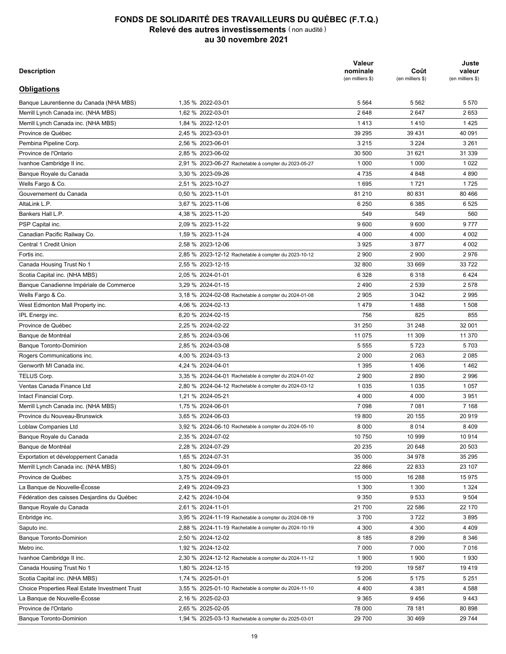| <b>Description</b><br><b>Actions et parts</b> | Quantité | Coût<br>(en milliers \$) | Juste<br>valeur<br>(en milliers \$) |
|-----------------------------------------------|----------|--------------------------|-------------------------------------|
| Zoom Video Communications inc.                | 6 200    | 2 7 1 4                  | 1681                                |
| Zurich Insurance Group AG                     | 7699     | 3 1 9 6                  | 4 0 4 6                             |
| Total - actions et parts                      |          | 3696373                  | 4889409                             |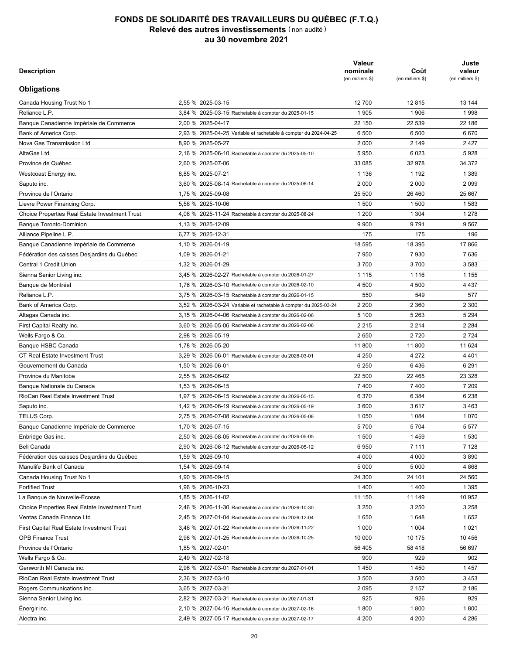| <b>Description</b>                                    |                                                      | Valeur<br>nominale<br>(en milliers \$) | Coût<br>(en milliers \$) | Juste<br>valeur<br>(en milliers \$) |
|-------------------------------------------------------|------------------------------------------------------|----------------------------------------|--------------------------|-------------------------------------|
| <b>Obligations</b>                                    |                                                      |                                        |                          |                                     |
| Banque Laurentienne du Canada (NHA MBS)               | 1,35 % 2022-03-01                                    | 5 5 6 4                                | 5 5 6 2                  | 5 5 7 0                             |
| Merrill Lynch Canada inc. (NHA MBS)                   | 1,62 % 2022-03-01                                    | 2648                                   | 2647                     | 2653                                |
| Merrill Lynch Canada inc. (NHA MBS)                   | 1,84 % 2022-12-01                                    | 1413                                   | 1410                     | 1425                                |
| Province de Québec                                    | 2,45 % 2023-03-01                                    | 39 295                                 | 39 431                   | 40 091                              |
| Pembina Pipeline Corp.                                | 2,56 % 2023-06-01                                    | 3 2 1 5                                | 3 2 2 4                  | 3 2 6 1                             |
| Province de l'Ontario                                 | 2,85 % 2023-06-02                                    | 30 500                                 | 31 621                   | 31 339                              |
| Ivanhoe Cambridge II inc.                             | 2,91 % 2023-06-27 Rachetable à compter du 2023-05-27 | 1 0 0 0                                | 1 0 0 0                  | 1 0 2 2                             |
| Banque Royale du Canada                               | 3,30 % 2023-09-26                                    | 4735                                   | 4848                     | 4 8 9 0                             |
| Wells Fargo & Co.                                     | 2,51 % 2023-10-27                                    | 1695                                   | 1721                     | 1725                                |
| Gouvernement du Canada                                | 0.50 % 2023-11-01                                    | 81 210                                 | 80 831                   | 80 466                              |
| AltaLink L.P.                                         | 3,67 % 2023-11-06                                    | 6 2 5 0                                | 6 3 8 5                  | 6525                                |
| Bankers Hall L.P.                                     | 4,38 % 2023-11-20                                    | 549                                    | 549                      | 560                                 |
| PSP Capital inc.                                      | 2,09 % 2023-11-22                                    | 9600                                   | 9600                     | 9777                                |
| Canadian Pacific Railway Co.                          | 1,59 % 2023-11-24                                    | 4 0 0 0                                | 4 0 0 0                  | 4 0 0 2                             |
| Central 1 Credit Union                                |                                                      |                                        |                          |                                     |
|                                                       | 2,58 % 2023-12-06                                    | 3925                                   | 3877                     | 4 0 0 2                             |
| Fortis inc.                                           | 2,85 % 2023-12-12 Rachetable à compter du 2023-10-12 | 2 9 0 0                                | 2 900                    | 2976                                |
| Canada Housing Trust No 1                             | 2,55 % 2023-12-15                                    | 32 800                                 | 33 669                   | 33722                               |
| Scotia Capital inc. (NHA MBS)                         | 2,05 % 2024-01-01                                    | 6 3 2 8                                | 6 3 1 8                  | 6424                                |
| Banque Canadienne Impériale de Commerce               | 3,29 % 2024-01-15                                    | 2490                                   | 2 5 3 9                  | 2 5 7 8                             |
| Wells Fargo & Co.                                     | 3,18 % 2024-02-08 Rachetable à compter du 2024-01-08 | 2 9 0 5                                | 3 0 4 2                  | 2995                                |
| West Edmonton Mall Property inc.                      | 4,06 % 2024-02-13                                    | 1479                                   | 1488                     | 1 508                               |
| IPL Energy inc.                                       | 8,20 % 2024-02-15                                    | 756                                    | 825                      | 855                                 |
| Province de Québec                                    | 2,25 % 2024-02-22                                    | 31 250                                 | 31 248                   | 32 001                              |
| Banque de Montréal                                    | 2,85 % 2024-03-06                                    | 11 075                                 | 11 309                   | 11 370                              |
| <b>Banque Toronto-Dominion</b>                        | 2,85 % 2024-03-08                                    | 5 5 5 5                                | 5723                     | 5703                                |
| Rogers Communications inc.                            | 4,00 % 2024-03-13                                    | 2 0 0 0                                | 2 0 6 3                  | 2085                                |
| Genworth MI Canada inc.                               | 4,24 % 2024-04-01                                    | 1 3 9 5                                | 1406                     | 1462                                |
| TELUS Corp.                                           | 3,35 % 2024-04-01 Rachetable à compter du 2024-01-02 | 2 9 0 0                                | 2890                     | 2 9 9 6                             |
| Ventas Canada Finance Ltd                             | 2,80 % 2024-04-12 Rachetable à compter du 2024-03-12 | 1 0 3 5                                | 1 0 3 5                  | 1 0 5 7                             |
| Intact Financial Corp.                                | 1,21 % 2024-05-21                                    | 4 0 0 0                                | 4 0 0 0                  | 3 9 5 1                             |
| Merrill Lynch Canada inc. (NHA MBS)                   | 1,75 % 2024-06-01                                    | 7 0 9 8                                | 7 0 8 1                  | 7 1 6 8                             |
| Province du Nouveau-Brunswick                         | 3,65 % 2024-06-03                                    | 19800                                  | 20 155                   | 20 919                              |
| Loblaw Companies Ltd                                  | 3,92 % 2024-06-10 Rachetable à compter du 2024-05-10 | 8 0 0 0                                | 8014                     | 8 4 0 9                             |
| Banque Royale du Canada                               | 2,35 % 2024-07-02                                    | 10 750                                 | 10 999                   | 10 914                              |
| Banque de Montréal                                    | 2,28 % 2024-07-29                                    | 20 235                                 | 20 648                   | 20 503                              |
| Exportation et développement Canada                   | 1,65 % 2024-07-31                                    | 35 000                                 | 34 978                   | 35 295                              |
| Merrill Lynch Canada inc. (NHA MBS)                   | 1,80 % 2024-09-01                                    | 22 866                                 | 22 833                   | 23 107                              |
| Province de Québec                                    | 3,75 % 2024-09-01                                    | 15 000                                 | 16 288                   | 15 975                              |
| La Banque de Nouvelle-Écosse                          | 2,49 % 2024-09-23                                    | 1 300                                  | 1 300                    | 1 3 2 4                             |
| Fédération des caisses Desjardins du Québec           | 2,42 % 2024-10-04                                    | 9 3 5 0                                | 9533                     | 9 5 0 4                             |
| Banque Royale du Canada                               | 2,61 % 2024-11-01                                    | 21 700                                 | 22 586                   | 22 170                              |
| Enbridge inc.                                         | 3,95 % 2024-11-19 Rachetable à compter du 2024-08-19 | 3700                                   | 3722                     | 3895                                |
| Saputo inc.                                           | 2,88 % 2024-11-19 Rachetable à compter du 2024-10-19 | 4 300                                  | 4 300                    | 4 4 0 9                             |
| <b>Banque Toronto-Dominion</b>                        | 2,50 % 2024-12-02                                    | 8 1 8 5                                | 8 2 9 9                  | 8 3 4 6                             |
| Metro inc.                                            | 1,92 % 2024-12-02                                    | 7 000                                  | 7 000                    | 7016                                |
| Ivanhoe Cambridge II inc.                             | 2,30 % 2024-12-12 Rachetable à compter du 2024-11-12 | 1 900                                  | 1 900                    | 1930                                |
| Canada Housing Trust No 1                             | 1,80 % 2024-12-15                                    | 19 200                                 | 19 587                   | 19419                               |
| Scotia Capital inc. (NHA MBS)                         | 1,74 % 2025-01-01                                    | 5 206                                  | 5 1 7 5                  | 5 2 5 1                             |
| <b>Choice Properties Real Estate Investment Trust</b> | 3,55 % 2025-01-10 Rachetable à compter du 2024-11-10 | 4 4 0 0                                | 4 381                    | 4 5 8 8                             |
| La Banque de Nouvelle-Écosse                          | 2,16 % 2025-02-03                                    | 9 3 6 5                                | 9456                     | 9443                                |
| Province de l'Ontario                                 | 2,65 % 2025-02-05                                    | 78 000                                 | 78 181                   | 80 898                              |
|                                                       |                                                      |                                        | 30 469                   | 29 744                              |
| <b>Banque Toronto-Dominion</b>                        | 1,94 % 2025-03-13 Rachetable à compter du 2025-03-01 | 29 700                                 |                          |                                     |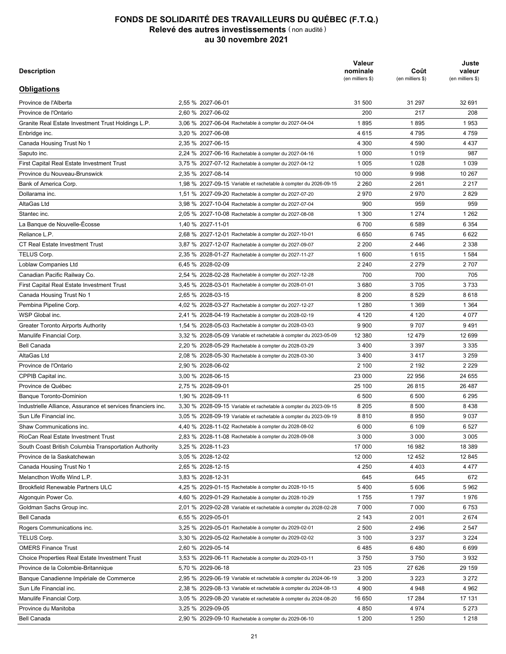| <b>Description</b>                                    |                                                                  | Valeur<br>nominale<br>(en milliers \$) | Coût<br>(en milliers \$) | Juste<br>valeur<br>(en milliers \$) |
|-------------------------------------------------------|------------------------------------------------------------------|----------------------------------------|--------------------------|-------------------------------------|
| <b>Obligations</b>                                    |                                                                  |                                        |                          |                                     |
| Canada Housing Trust No 1                             | 2.55 % 2025-03-15                                                | 12 700                                 | 12815                    | 13 144                              |
| Reliance L.P.                                         | 3,84 % 2025-03-15 Rachetable à compter du 2025-01-15             | 1905                                   | 1906                     | 1998                                |
| Banque Canadienne Impériale de Commerce               | 2,00 % 2025-04-17                                                | 22 150                                 | 22 539                   | 22 186                              |
| Bank of America Corp.                                 | 2,93 % 2025-04-25 Variable et rachetable à compter du 2024-04-25 | 6 500                                  | 6 500                    | 6670                                |
| Nova Gas Transmission Ltd                             | 8,90 % 2025-05-27                                                | 2 0 0 0                                | 2 149                    | 2427                                |
| AltaGas Ltd                                           | 2,16 % 2025-06-10 Rachetable à compter du 2025-05-10             | 5 9 5 0                                | 6 0 23                   | 5928                                |
| Province de Québec                                    | 2,60 % 2025-07-06                                                | 33 085                                 | 32 978                   | 34 372                              |
| Westcoast Energy inc.                                 | 8,85 % 2025-07-21                                                | 1 1 3 6                                | 1 1 9 2                  | 1 3 8 9                             |
| Saputo inc.                                           | 3,60 % 2025-08-14 Rachetable à compter du 2025-06-14             | 2 0 0 0                                | 2 0 0 0                  | 2 0 9 9                             |
| Province de l'Ontario                                 | 1,75 % 2025-09-08                                                | 25 500                                 | 26 460                   | 25 667                              |
| Lievre Power Financing Corp.                          | 5,56 % 2025-10-06                                                | 1 500                                  | 1 500                    | 1583                                |
| <b>Choice Properties Real Estate Investment Trust</b> | 4,06 % 2025-11-24 Rachetable à compter du 2025-08-24             | 1 200                                  | 1 3 0 4                  | 1 2 7 8                             |
| <b>Banque Toronto-Dominion</b>                        | 1,13 % 2025-12-09                                                | 9 9 0 0                                | 9791                     | 9567                                |
| Alliance Pipeline L.P.                                | 6,77 % 2025-12-31                                                | 175                                    | 175                      | 196                                 |
| Banque Canadienne Impériale de Commerce               | 1,10 % 2026-01-19                                                | 18 595                                 | 18 395                   | 17866                               |
| Fédération des caisses Desjardins du Québec           | 1,09 % 2026-01-21                                                | 7950                                   | 7930                     | 7636                                |
| Central 1 Credit Union                                | 1,32 % 2026-01-29                                                | 3700                                   | 3700                     | 3 5 8 3                             |
| Sienna Senior Living inc.                             | 3,45 % 2026-02-27 Rachetable à compter du 2026-01-27             | 1 1 1 5                                | 1 1 1 6                  | 1 1 5 5                             |
| Banque de Montréal                                    | 1.76 % 2026-03-10 Rachetable à compter du 2026-02-10             | 4 500                                  | 4 500                    | 4 4 3 7                             |
| Reliance L.P.                                         | 3,75 % 2026-03-15 Rachetable à compter du 2026-01-15             | 550                                    | 549                      | 577                                 |
| Bank of America Corp.                                 | 3,52 % 2026-03-24 Variable et rachetable à compter du 2025-03-24 | 2 2 0 0                                | 2 3 6 0                  | 2 3 0 0                             |
| Altagas Canada inc.                                   | 3,15 % 2026-04-06 Rachetable à compter du 2026-02-06             | 5 100                                  | 5 2 6 3                  | 5 2 9 4                             |
| First Capital Realty inc.                             | 3,60 % 2026-05-06 Rachetable à compter du 2026-02-06             | 2 2 1 5                                | 2 2 1 4                  | 2 2 8 4                             |
| Wells Fargo & Co.                                     | 2,98 % 2026-05-19                                                | 2650                                   | 2720                     | 2 7 2 4                             |
| Banque HSBC Canada                                    | 1,78 % 2026-05-20                                                | 11 800                                 | 11800                    | 11 624                              |
| <b>CT Real Estate Investment Trust</b>                | 3,29 % 2026-06-01 Rachetable à compter du 2026-03-01             | 4 2 5 0                                | 4 2 7 2                  | 4 4 0 1                             |
| Gouvernement du Canada                                | 1,50 % 2026-06-01                                                | 6 2 5 0                                | 6436                     | 6 2 9 1                             |
| Province du Manitoba                                  | 2,55 % 2026-06-02                                                | 22 500                                 | 22 4 65                  | 23 328                              |
| Banque Nationale du Canada                            | 1,53 % 2026-06-15                                                | 7400                                   | 7400                     | 7 209                               |
| RioCan Real Estate Investment Trust                   | 1,97 % 2026-06-15 Rachetable à compter du 2026-05-15             | 6 3 7 0                                | 6 3 8 4                  | 6 2 3 8                             |
| Saputo inc.                                           | 1,42 % 2026-06-19 Rachetable à compter du 2026-05-19             | 3600                                   | 3617                     | 3 4 6 3                             |
| TELUS Corp.                                           | 2,75 % 2026-07-08 Rachetable à compter du 2026-05-08             | 1 0 5 0                                | 1 0 8 4                  | 1070                                |
|                                                       | 1,70 % 2026-07-15                                                | 5700                                   | 5704                     | 5577                                |
| Banque Canadienne Impériale de Commerce               |                                                                  |                                        |                          |                                     |
| Enbridge Gas inc.                                     | 2,50 % 2026-08-05 Rachetable à compter du 2026-05-05             | 1 500                                  | 1459                     | 1 5 3 0                             |
| <b>Bell Canada</b>                                    | 2,90 % 2026-08-12 Rachetable à compter du 2026-05-12             | 6950                                   | 7 1 1 1                  | 7 1 2 8                             |
| Fédération des caisses Desjardins du Québec           | 1,59 % 2026-09-10                                                | 4 0 0 0                                | 4 0 0 0                  | 3890                                |
| Manulife Bank of Canada                               | 1,54 % 2026-09-14                                                | 5 0 0 0                                | 5 0 0 0                  | 4 8 6 8                             |
| Canada Housing Trust No 1                             | 1,90 % 2026-09-15                                                | 24 300                                 | 24 101                   | 24 560                              |
| <b>Fortified Trust</b>                                | 1,96 % 2026-10-23                                                | 1400                                   | 1400                     | 1 3 9 5                             |
| La Banque de Nouvelle-Écosse                          | 1,85 % 2026-11-02                                                | 11 150                                 | 11 149                   | 10 952                              |
| Choice Properties Real Estate Investment Trust        | 2,46 % 2026-11-30 Rachetable à compter du 2026-10-30             | 3 2 5 0                                | 3 2 5 0                  | 3 2 5 8                             |
| Ventas Canada Finance Ltd                             | 2,45 % 2027-01-04 Rachetable à compter du 2026-12-04             | 1650                                   | 1648                     | 1652                                |
| First Capital Real Estate Investment Trust            | 3,46 % 2027-01-22 Rachetable à compter du 2026-11-22             | 1 0 0 0                                | 1 0 0 4                  | 1 0 2 1                             |
| <b>OPB Finance Trust</b>                              | 2,98 % 2027-01-25 Rachetable à compter du 2026-10-25             | 10 000                                 | 10 175                   | 10 456                              |
| Province de l'Ontario                                 | 1,85 % 2027-02-01                                                | 56 405                                 | 58 418                   | 56 697                              |
| Wells Fargo & Co.                                     | 2,49 % 2027-02-18                                                | 900                                    | 929                      | 902                                 |
| Genworth MI Canada inc.                               | 2,96 % 2027-03-01 Rachetable à compter du 2027-01-01             | 1450                                   | 1450                     | 1457                                |
| RioCan Real Estate Investment Trust                   | 2,36 % 2027-03-10                                                | 3 500                                  | 3 500                    | 3 4 5 3                             |
| Rogers Communications inc.                            | 3,65 % 2027-03-31                                                | 2 0 9 5                                | 2 157                    | 2 186                               |
| Sienna Senior Living inc.                             | 2,82 % 2027-03-31 Rachetable à compter du 2027-01-31             | 925                                    | 926                      | 929                                 |
| Énergir inc.                                          | 2,10 % 2027-04-16 Rachetable à compter du 2027-02-16             | 1800                                   | 1800                     | 1800                                |
| Alectra inc.                                          | 2,49 % 2027-05-17 Rachetable à compter du 2027-02-17             | 4 200                                  | 4 200                    | 4 2 8 6                             |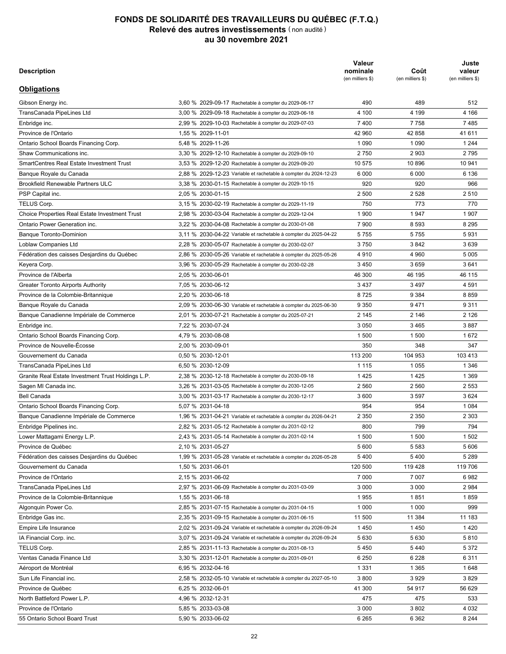| <b>Description</b>                                           |                                                                  | Valeur<br>nominale<br>(en milliers \$) | Coût<br>(en milliers \$) | Juste<br>valeur<br>(en milliers \$) |
|--------------------------------------------------------------|------------------------------------------------------------------|----------------------------------------|--------------------------|-------------------------------------|
| <b>Obligations</b>                                           |                                                                  |                                        |                          |                                     |
| Province de l'Alberta                                        | 2.55 % 2027-06-01                                                | 31 500                                 | 31 297                   | 32 691                              |
| Province de l'Ontario                                        | 2.60 % 2027-06-02                                                | 200                                    | 217                      | 208                                 |
| Granite Real Estate Investment Trust Holdings L.P.           | 3,06 % 2027-06-04 Rachetable à compter du 2027-04-04             | 1895                                   | 1895                     | 1953                                |
| Enbridge inc.                                                | 3,20 % 2027-06-08                                                | 4615                                   | 4795                     | 4 7 5 9                             |
| Canada Housing Trust No 1                                    | 2,35 % 2027-06-15                                                | 4 300                                  | 4 5 9 0                  | 4 4 3 7                             |
| Saputo inc.                                                  | 2,24 % 2027-06-16 Rachetable à compter du 2027-04-16             | 1 0 0 0                                | 1019                     | 987                                 |
| First Capital Real Estate Investment Trust                   | 3.75 % 2027-07-12 Rachetable à compter du 2027-04-12             | 1 0 0 5                                | 1 0 2 8                  | 1 0 3 9                             |
| Province du Nouveau-Brunswick                                | 2,35 % 2027-08-14                                                | 10 000                                 | 9998                     | 10 267                              |
| Bank of America Corp.                                        | 1,98 % 2027-09-15 Variable et rachetable à compter du 2026-09-15 | 2 2 6 0                                | 2 2 6 1                  | 2 2 1 7                             |
| Dollarama inc.                                               | 1,51 % 2027-09-20 Rachetable à compter du 2027-07-20             | 2970                                   | 2970                     | 2829                                |
| AltaGas Ltd                                                  | 3,98 % 2027-10-04 Rachetable à compter du 2027-07-04             | 900                                    | 959                      | 959                                 |
| Stantec inc.                                                 | 2,05 % 2027-10-08 Rachetable à compter du 2027-08-08             | 1 300                                  | 1 2 7 4                  | 1 2 6 2                             |
| La Banque de Nouvelle-Écosse                                 | 1,40 % 2027-11-01                                                | 6700                                   | 6 5 8 9                  | 6 3 5 4                             |
| Reliance L.P.                                                | 2,68 % 2027-12-01 Rachetable à compter du 2027-10-01             | 6650                                   | 6745                     | 6622                                |
| CT Real Estate Investment Trust                              | 3,87 % 2027-12-07 Rachetable à compter du 2027-09-07             | 2 2 0 0                                | 2446                     | 2 3 3 8                             |
| <b>TELUS Corp.</b>                                           | 2,35 % 2028-01-27 Rachetable à compter du 2027-11-27             | 1 600                                  | 1615                     | 1 5 8 4                             |
| Loblaw Companies Ltd                                         | 6,45 % 2028-02-09                                                | 2 2 4 0                                | 2 2 7 9                  | 2 7 0 7                             |
| Canadian Pacific Railway Co.                                 | 2,54 % 2028-02-28 Rachetable à compter du 2027-12-28             | 700                                    | 700                      | 705                                 |
| First Capital Real Estate Investment Trust                   | 3,45 % 2028-03-01 Rachetable à compter du 2028-01-01             | 3680                                   | 3705                     | 3733                                |
| Canada Housing Trust No 1                                    | 2,65 % 2028-03-15                                                | 8 2 0 0                                | 8529                     | 8618                                |
| Pembina Pipeline Corp.                                       | 4,02 % 2028-03-27 Rachetable à compter du 2027-12-27             | 1 2 8 0                                | 1 3 6 9                  | 1 3 6 4                             |
| WSP Global inc.                                              | 2,41 % 2028-04-19 Rachetable à compter du 2028-02-19             | 4 1 2 0                                | 4 1 2 0                  | 4 0 7 7                             |
| <b>Greater Toronto Airports Authority</b>                    | 1,54 % 2028-05-03 Rachetable à compter du 2028-03-03             | 9 9 0 0                                | 9707                     | 9491                                |
| Manulife Financial Corp.                                     | 3,32 % 2028-05-09 Variable et rachetable à compter du 2023-05-09 | 12 3 8 0                               | 12 479                   | 12 699                              |
| <b>Bell Canada</b>                                           | 2,20 % 2028-05-29 Rachetable à compter du 2028-03-29             | 3400                                   | 3 3 9 7                  | 3 3 3 5                             |
| AltaGas Ltd                                                  | 2,08 % 2028-05-30 Rachetable à compter du 2028-03-30             | 3400                                   | 3417                     | 3 2 5 9                             |
| Province de l'Ontario                                        | 2,90 % 2028-06-02                                                | 2 100                                  | 2 192                    | 2 2 2 9                             |
| CPPIB Capital inc.                                           | 3,00 % 2028-06-15                                                | 23 000                                 | 22 956                   | 24 655                              |
| Province de Québec                                           | 2,75 % 2028-09-01                                                | 25 100                                 | 26815                    | 26 487                              |
| <b>Banque Toronto-Dominion</b>                               | 1,90 % 2028-09-11                                                | 6 500                                  | 6 500                    | 6 2 9 5                             |
| Industrielle Alliance, Assurance et services financiers inc. | 3,30 % 2028-09-15 Variable et rachetable à compter du 2023-09-15 | 8 2 0 5                                | 8 500                    | 8438                                |
| Sun Life Financial inc.                                      | 3,05 % 2028-09-19 Variable et rachetable à compter du 2023-09-19 | 8810                                   | 8950                     | 9 0 3 7                             |
| Shaw Communications inc.                                     | 4,40 % 2028-11-02 Rachetable à compter du 2028-08-02             | 6 0 0 0                                | 6 109                    | 6 5 27                              |
| RioCan Real Estate Investment Trust                          | 2,83 % 2028-11-08 Rachetable à compter du 2028-09-08             | 3 0 0 0                                | 3 0 0 0                  | 3 0 0 5                             |
| South Coast British Columbia Transportation Authority        | 3,25 % 2028-11-23                                                | 17 000                                 | 16 982                   | 18 389                              |
| Province de la Saskatchewan                                  | 3,05 % 2028-12-02                                                | 12 000                                 | 12 452                   | 12 845                              |
| Canada Housing Trust No 1                                    |                                                                  | 4 2 5 0                                | 4 4 0 3                  | 4 4 7 7                             |
| Melancthon Wolfe Wind L.P.                                   | 2,65 % 2028-12-15<br>3,83 % 2028-12-31                           | 645                                    | 645                      | 672                                 |
|                                                              |                                                                  |                                        |                          |                                     |
| <b>Brookfield Renewable Partners ULC</b>                     | 4,25 % 2029-01-15 Rachetable à compter du 2028-10-15             | 5400                                   | 5 606                    | 5962                                |
| Algonquin Power Co.                                          | 4,60 % 2029-01-29 Rachetable à compter du 2028-10-29             | 1755                                   | 1797                     | 1976                                |
| Goldman Sachs Group inc.                                     | 2,01 % 2029-02-28 Variable et rachetable à compter du 2028-02-28 | 7 000                                  | 7 000                    | 6753                                |
| <b>Bell Canada</b>                                           | 6,55 % 2029-05-01                                                | 2 143                                  | 2 0 0 1                  | 2674                                |
| Rogers Communications inc.                                   | 3,25 % 2029-05-01 Rachetable à compter du 2029-02-01             | 2 500                                  | 2496                     | 2 5 4 7                             |
| TELUS Corp.                                                  | 3,30 % 2029-05-02 Rachetable à compter du 2029-02-02             | 3 100                                  | 3 2 3 7                  | 3 2 2 4                             |
| <b>OMERS Finance Trust</b>                                   | 2,60 % 2029-05-14                                                | 6485                                   | 6480                     | 6 6 9 9                             |
| <b>Choice Properties Real Estate Investment Trust</b>        | 3,53 % 2029-06-11 Rachetable à compter du 2029-03-11             | 3750                                   | 3750                     | 3932                                |
| Province de la Colombie-Britannique                          | 5,70 % 2029-06-18                                                | 23 105                                 | 27 626                   | 29 159                              |
| Banque Canadienne Impériale de Commerce                      | 2,95 % 2029-06-19 Variable et rachetable à compter du 2024-06-19 | 3 200                                  | 3 2 2 3                  | 3 2 7 2                             |
| Sun Life Financial inc.                                      | 2,38 % 2029-08-13 Variable et rachetable à compter du 2024-08-13 | 4 900                                  | 4948                     | 4 9 6 2                             |
| Manulife Financial Corp.                                     | 3,05 % 2029-08-20 Variable et rachetable à compter du 2024-08-20 | 16 650                                 | 17 284                   | 17 131                              |
| Province du Manitoba                                         | 3,25 % 2029-09-05                                                | 4 8 5 0                                | 4974                     | 5 2 7 3                             |
| <b>Bell Canada</b>                                           | 2,90 % 2029-09-10 Rachetable à compter du 2029-06-10             | 1 200                                  | 1 2 5 0                  | 1 2 1 8                             |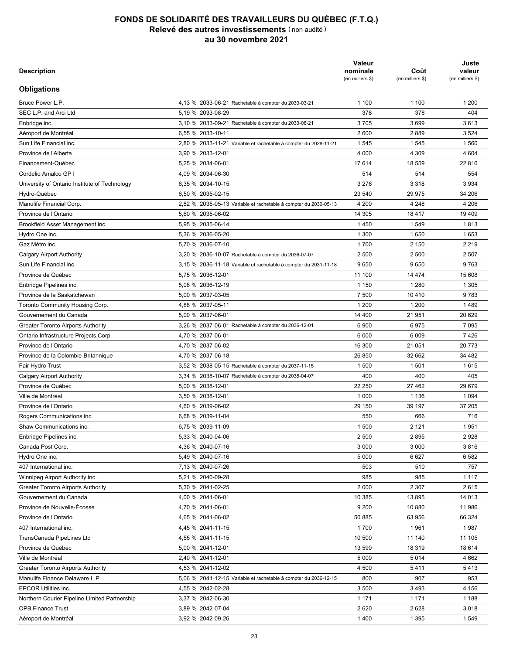| <b>Description</b>                                    |                                                                           | Valeur<br>nominale<br>(en milliers \$) | Coût<br>(en milliers \$) | Juste<br>valeur<br>(en milliers \$) |
|-------------------------------------------------------|---------------------------------------------------------------------------|----------------------------------------|--------------------------|-------------------------------------|
| <b>Obligations</b>                                    |                                                                           |                                        |                          |                                     |
| Gibson Energy inc.                                    | 3.60 % 2029-09-17 Rachetable à compter du 2029-06-17                      | 490                                    | 489                      | 512                                 |
| TransCanada PipeLines Ltd                             | 3,00 % 2029-09-18 Rachetable à compter du 2029-06-18                      | 4 100                                  | 4 199                    | 4 1 6 6                             |
| Enbridge inc.                                         | 2,99 % 2029-10-03 Rachetable à compter du 2029-07-03                      | 7400                                   | 7758                     | 7485                                |
| Province de l'Ontario                                 | 1,55 % 2029-11-01                                                         | 42 960                                 | 42 858                   | 41 611                              |
| Ontario School Boards Financing Corp.                 | 5,48 % 2029-11-26                                                         | 1 0 9 0                                | 1 0 9 0                  | 1 2 4 4                             |
| Shaw Communications inc.                              | 3,30 % 2029-12-10 Rachetable à compter du 2029-09-10                      | 2750                                   | 2 9 0 3                  | 2795                                |
| <b>SmartCentres Real Estate Investment Trust</b>      | 3,53 % 2029-12-20 Rachetable à compter du 2029-09-20                      | 10 575                                 | 10896                    | 10 941                              |
| Banque Royale du Canada                               | 2,88 % 2029-12-23 Variable et rachetable à compter du 2024-12-23          | 6 0 0 0                                | 6 0 0 0                  | 6 1 3 6                             |
| <b>Brookfield Renewable Partners ULC</b>              | 3,38 % 2030-01-15 Rachetable à compter du 2029-10-15                      | 920                                    | 920                      | 966                                 |
| PSP Capital inc.                                      | 2,05 % 2030-01-15                                                         | 2 500                                  | 2 5 2 8                  | 2510                                |
| TELUS Corp.                                           | 3,15 % 2030-02-19 Rachetable à compter du 2029-11-19                      | 750                                    | 773                      | 770                                 |
| <b>Choice Properties Real Estate Investment Trust</b> | 2,98 % 2030-03-04 Rachetable à compter du 2029-12-04                      | 1 900                                  | 1947                     | 1907                                |
| Ontario Power Generation inc.                         | 3,22 % 2030-04-08 Rachetable à compter du 2030-01-08                      | 7 900                                  | 8 5 9 3                  | 8 2 9 5                             |
| <b>Banque Toronto-Dominion</b>                        | 3,11 % 2030-04-22 Variable et rachetable à compter du 2025-04-22          | 5755                                   | 5755                     | 5931                                |
| Loblaw Companies Ltd                                  | 2,28 % 2030-05-07 Rachetable à compter du 2030-02-07                      | 3750                                   | 3842                     | 3639                                |
| Fédération des caisses Desjardins du Québec           | 2,86 % 2030-05-26 Variable et rachetable à compter du 2025-05-26          | 4910                                   | 4 9 6 0                  | 5 0 0 5                             |
| Keyera Corp.                                          | 3,96 % 2030-05-29 Rachetable à compter du 2030-02-28                      | 3 4 5 0                                | 3659                     | 3641                                |
| Province de l'Alberta                                 | 2,05 % 2030-06-01                                                         | 46 300                                 | 46 195                   | 46 115                              |
| <b>Greater Toronto Airports Authority</b>             | 7,05 % 2030-06-12                                                         | 3 4 3 7                                | 3497                     | 4 5 9 1                             |
| Province de la Colombie-Britannique                   | 2,20 % 2030-06-18                                                         | 8725                                   | 9 3 8 4                  | 8859                                |
| Banque Royale du Canada                               | 2,09 % 2030-06-30 Variable et rachetable à compter du 2025-06-30          | 9 3 5 0                                | 9471                     | 9 3 1 1                             |
|                                                       |                                                                           | 2 1 4 5                                | 2 146                    | 2 1 2 6                             |
| Banque Canadienne Impériale de Commerce               | 2,01 % 2030-07-21 Rachetable à compter du 2025-07-21<br>7,22 % 2030-07-24 | 3 0 5 0                                | 3465                     | 3887                                |
| Enbridge inc.                                         |                                                                           |                                        |                          | 1672                                |
| Ontario School Boards Financing Corp.                 | 4,79 % 2030-08-08                                                         | 1 500                                  | 1 500                    |                                     |
| Province de Nouvelle-Écosse                           | 2,00 % 2030-09-01                                                         | 350                                    | 348                      | 347                                 |
| Gouvernement du Canada                                | 0,50 % 2030-12-01                                                         | 113 200                                | 104 953                  | 103 413                             |
| TransCanada PipeLines Ltd                             | 6,50 % 2030-12-09                                                         | 1 1 1 5                                | 1 0 5 5                  | 1 3 4 6                             |
| Granite Real Estate Investment Trust Holdings L.P.    | 2,38 % 2030-12-18 Rachetable à compter du 2030-09-18                      | 1425                                   | 1425                     | 1 3 6 9                             |
| Sagen MI Canada inc.                                  | 3,26 % 2031-03-05 Rachetable à compter du 2030-12-05                      | 2 5 6 0                                | 2 5 6 0                  | 2 5 5 3                             |
| <b>Bell Canada</b>                                    | 3,00 % 2031-03-17 Rachetable à compter du 2030-12-17                      | 3 600                                  | 3 5 9 7                  | 3 6 2 4                             |
| Ontario School Boards Financing Corp.                 | 5,07 % 2031-04-18                                                         | 954                                    | 954                      | 1 0 8 4                             |
| Banque Canadienne Impériale de Commerce               | 1,96 % 2031-04-21 Variable et rachetable à compter du 2026-04-21          | 2 3 5 0                                | 2 3 5 0                  | 2 3 0 3                             |
| Enbridge Pipelines inc.                               | 2,82 % 2031-05-12 Rachetable à compter du 2031-02-12                      | 800                                    | 799                      | 794                                 |
| Lower Mattagami Energy L.P.                           | 2.43 % 2031-05-14 Rachetable à compter du 2031-02-14                      | 1 500                                  | 1 500                    | 1 502                               |
| Province de Québec                                    | 2,10 % 2031-05-27                                                         | 5 600                                  | 5 5 8 3                  | 5 606                               |
| Fédération des caisses Desjardins du Québec           | 1,99 % 2031-05-28 Variable et rachetable à compter du 2026-05-28          | 5400                                   | 5400                     | 5 2 8 9                             |
| Gouvernement du Canada                                | 1,50 % 2031-06-01                                                         | 120 500                                | 119 428                  | 119 706                             |
| Province de l'Ontario                                 | 2,15 % 2031-06-02                                                         | 7 000                                  | 7 0 0 7                  | 6982                                |
| TransCanada PipeLines Ltd                             | 2,97 % 2031-06-09 Rachetable à compter du 2031-03-09                      | 3 0 0 0                                | 3 0 0 0                  | 2984                                |
| Province de la Colombie-Britannique                   | 1,55 % 2031-06-18                                                         | 1955                                   | 1851                     | 1859                                |
| Algonquin Power Co.                                   | 2,85 % 2031-07-15 Rachetable à compter du 2031-04-15                      | 1 0 0 0                                | 1 0 0 0                  | 999                                 |
| Enbridge Gas inc.                                     | 2,35 % 2031-09-15 Rachetable à compter du 2031-06-15                      | 11 500                                 | 11 384                   | 11 183                              |
| Empire Life Insurance                                 | 2,02 % 2031-09-24 Variable et rachetable à compter du 2026-09-24          | 1450                                   | 1450                     | 1420                                |
| IA Financial Corp. inc.                               | 3,07 % 2031-09-24 Variable et rachetable à compter du 2026-09-24          | 5 6 3 0                                | 5 6 3 0                  | 5810                                |
| TELUS Corp.                                           | 2,85 % 2031-11-13 Rachetable à compter du 2031-08-13                      | 5450                                   | 5440                     | 5 3 7 2                             |
| Ventas Canada Finance Ltd                             | 3,30 % 2031-12-01 Rachetable à compter du 2031-09-01                      | 6 2 5 0                                | 6 2 2 8                  | 6311                                |
| Aéroport de Montréal                                  | 6,95 % 2032-04-16                                                         | 1 3 3 1                                | 1 3 6 5                  | 1648                                |
| Sun Life Financial inc.                               | 2,58 % 2032-05-10 Variable et rachetable à compter du 2027-05-10          | 3800                                   | 3929                     | 3829                                |
| Province de Québec                                    | 6,25 % 2032-06-01                                                         | 41 300                                 | 54 917                   | 56 629                              |
| North Battleford Power L.P.                           | 4,96 % 2032-12-31                                                         | 475                                    | 475                      | 533                                 |
| Province de l'Ontario                                 | 5,85 % 2033-03-08                                                         | 3 0 0 0                                | 3802                     | 4 0 3 2                             |
| 55 Ontario School Board Trust                         | 5,90 % 2033-06-02                                                         | 6 2 6 5                                | 6 3 6 2                  | 8 2 4 4                             |
|                                                       |                                                                           |                                        |                          |                                     |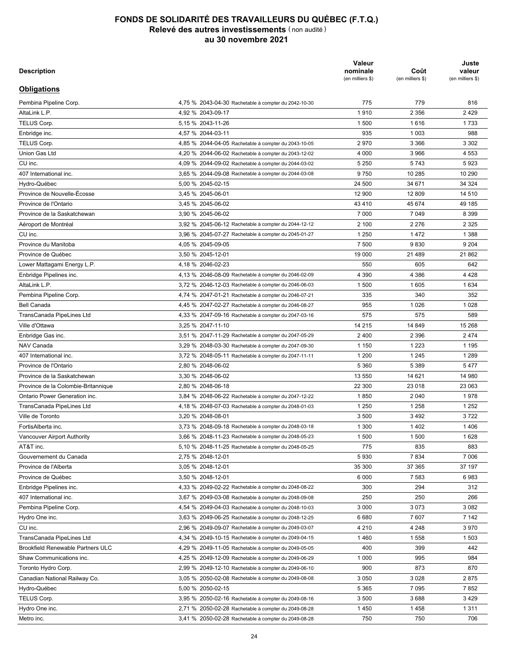| <b>Description</b>                            |                                                                  | Valeur<br>nominale<br>(en milliers \$) | Coût<br>(en milliers \$) | Juste<br>valeur<br>(en milliers \$) |
|-----------------------------------------------|------------------------------------------------------------------|----------------------------------------|--------------------------|-------------------------------------|
| <b>Obligations</b>                            |                                                                  |                                        |                          |                                     |
| Bruce Power L.P.                              | 4.13 % 2033-06-21 Rachetable à compter du 2033-03-21             | 1 100                                  | 1 100                    | 1 200                               |
| SEC L.P. and Arci Ltd                         | 5,19 % 2033-08-29                                                | 378                                    | 378                      | 404                                 |
| Enbridge inc.                                 | 3,10 % 2033-09-21 Rachetable à compter du 2033-06-21             | 3705                                   | 3699                     | 3613                                |
| Aéroport de Montréal                          | 6,55 % 2033-10-11                                                | 2600                                   | 2889                     | 3 5 24                              |
| Sun Life Financial inc.                       | 2,80 % 2033-11-21 Variable et rachetable à compter du 2028-11-21 | 1545                                   | 1545                     | 1560                                |
| Province de l'Alberta                         | 3,90 % 2033-12-01                                                | 4 0 0 0                                | 4 3 0 9                  | 4 604                               |
| Financement-Québec                            | 5.25 % 2034-06-01                                                | 17614                                  | 18 559                   | 22 816                              |
| Cordelio Amalco GP I                          | 4,09 % 2034-06-30                                                | 514                                    | 514                      | 554                                 |
| University of Ontario Institute of Technology | 6,35 % 2034-10-15                                                | 3 2 7 6                                | 3 3 1 8                  | 3 9 3 4                             |
| Hydro-Québec                                  | 6,50 % 2035-02-15                                                | 23 540                                 | 29 975                   | 34 206                              |
| Manulife Financial Corp.                      | 2,82 % 2035-05-13 Variable et rachetable à compter du 2030-05-13 | 4 200                                  | 4 2 4 8                  | 4 2 0 6                             |
| Province de l'Ontario                         | 5,60 % 2035-06-02                                                | 14 305                                 | 18 4 17                  | 19 409                              |
| Brookfield Asset Management inc.              | 5,95 % 2035-06-14                                                | 1450                                   | 1 5 4 9                  | 1813                                |
| Hydro One inc.                                | 5,36 % 2036-05-20                                                | 1 300                                  | 1650                     | 1653                                |
| Gaz Métro inc.                                | 5,70 % 2036-07-10                                                | 1700                                   | 2 1 5 0                  | 2 2 1 9                             |
| <b>Calgary Airport Authority</b>              | 3,20 % 2036-10-07 Rachetable à compter du 2036-07-07             | 2 500                                  | 2 500                    | 2 507                               |
| Sun Life Financial inc.                       | 3,15 % 2036-11-18 Variable et rachetable à compter du 2031-11-18 | 9650                                   | 9650                     | 9763                                |
| Province de Québec                            | 5,75 % 2036-12-01                                                | 11 100                                 | 14 474                   | 15 608                              |
| Enbridge Pipelines inc.                       | 5,08 % 2036-12-19                                                | 1 1 5 0                                | 1 2 8 0                  | 1 3 0 5                             |
| Province de la Saskatchewan                   | 5,00 % 2037-03-05                                                | 7 500                                  | 10 410                   | 9783                                |
| Toronto Community Housing Corp.               | 4,88 % 2037-05-11                                                | 1 200                                  | 1 200                    | 1489                                |
| Gouvernement du Canada                        | 5,00 % 2037-06-01                                                | 14 400                                 | 21 951                   | 20 629                              |
| <b>Greater Toronto Airports Authority</b>     | 3,26 % 2037-06-01 Rachetable à compter du 2036-12-01             | 6900                                   | 6975                     | 7 0 9 5                             |
| Ontario Infrastructure Projects Corp.         | 4,70 % 2037-06-01                                                | 6 0 0 0                                | 6 0 0 9                  | 7426                                |
| Province de l'Ontario                         | 4,70 % 2037-06-02                                                | 16 300                                 | 21 051                   | 20 773                              |
| Province de la Colombie-Britannique           | 4,70 % 2037-06-18                                                | 26 850                                 | 32 662                   | 34 482                              |
| Fair Hydro Trust                              | 3,52 % 2038-05-15 Rachetable à compter du 2037-11-15             | 1 500                                  | 1 501                    | 1615                                |
| Calgary Airport Authority                     | 3,34 % 2038-10-07 Rachetable à compter du 2038-04-07             | 400                                    | 400                      | 405                                 |
| Province de Québec                            | 5,00 % 2038-12-01                                                | 22 250                                 | 27 462                   | 29 679                              |
| Ville de Montréal                             | 3,50 % 2038-12-01                                                | 1 0 0 0                                | 1 1 3 6                  | 1 0 9 4                             |
| Province de l'Ontario                         | 4,60 % 2039-06-02                                                | 29 150                                 | 39 197                   | 37 205                              |
| Rogers Communications inc.                    | 6,68 % 2039-11-04                                                | 550                                    | 666                      | 716                                 |
| Shaw Communications inc.                      | 6,75 % 2039-11-09                                                | 1 500                                  | 2 1 2 1                  | 1951                                |
| Enbridge Pipelines inc.                       | 5,33 % 2040-04-06                                                | 2 500                                  | 2895                     | 2928                                |
| Canada Post Corp.                             | 4,36 % 2040-07-16                                                | 3 0 0 0                                | 3 0 0 0                  | 3816                                |
| Hydro One inc.                                | 5,49 % 2040-07-16                                                | 5 0 0 0                                | 6627                     | 6 5 8 2                             |
| 407 International inc.                        | 7,13 % 2040-07-26                                                | 503                                    | 510                      | 757                                 |
| Winnipeg Airport Authority inc.               | 5,21 % 2040-09-28                                                | 985                                    | 985                      | 1 1 1 7                             |
| <b>Greater Toronto Airports Authority</b>     | 5,30 % 2041-02-25                                                | 2 0 0 0                                | 2 3 0 7                  | 2615                                |
| Gouvernement du Canada                        |                                                                  |                                        |                          | 14 013                              |
| Province de Nouvelle-Écosse                   | 4,00 % 2041-06-01<br>4,70 % 2041-06-01                           | 10 385<br>9 2 0 0                      | 13 895<br>10 880         | 11 986                              |
|                                               |                                                                  |                                        |                          |                                     |
| Province de l'Ontario                         | 4,65 % 2041-06-02                                                | 50 885                                 | 63 956                   | 66 324                              |
| 407 International inc.                        | 4,45 % 2041-11-15                                                | 1700                                   | 1961                     | 1987                                |
| TransCanada PipeLines Ltd                     | 4,55 % 2041-11-15                                                | 10 500                                 | 11 140                   | 11 105                              |
| Province de Québec                            | 5,00 % 2041-12-01                                                | 13 590                                 | 18 319                   | 18 614                              |
| Ville de Montréal                             | 2,40 % 2041-12-01                                                | 5 0 0 0                                | 5014                     | 4 6 6 2                             |
| <b>Greater Toronto Airports Authority</b>     | 4,53 % 2041-12-02                                                | 4 500                                  | 5411                     | 5413                                |
| Manulife Finance Delaware L.P.                | 5,06 % 2041-12-15 Variable et rachetable à compter du 2036-12-15 | 800                                    | 907                      | 953                                 |
| <b>EPCOR Utilities inc.</b>                   | 4,55 % 2042-02-28                                                | 3 500                                  | 3493                     | 4 156                               |
| Northern Courier Pipeline Limited Partnership | 3,37 % 2042-06-30                                                | 1 1 7 1                                | 1 1 7 1                  | 1 1 8 8                             |
| <b>OPB Finance Trust</b>                      | 3,89 % 2042-07-04                                                | 2620                                   | 2628                     | 3018                                |
| Aéroport de Montréal                          | 3,92 % 2042-09-26                                                | 1400                                   | 1 3 9 5                  | 1549                                |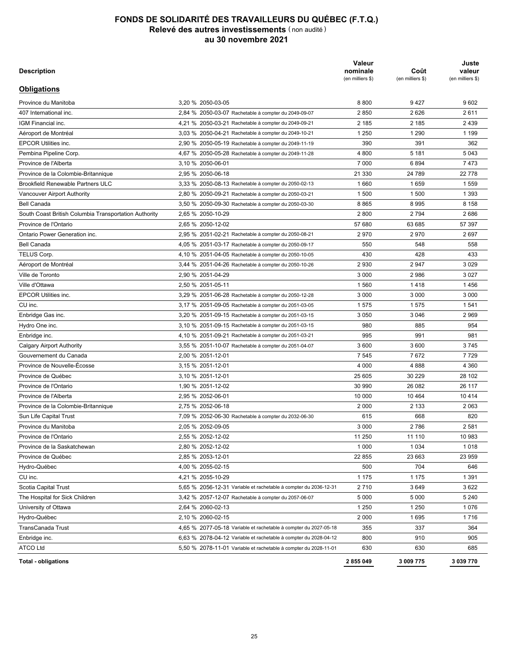| <b>Description</b>                       |                                                                                                              | Valeur<br>nominale<br>(en milliers \$) | Coût<br>(en milliers \$) | Juste<br>valeur<br>(en milliers \$) |
|------------------------------------------|--------------------------------------------------------------------------------------------------------------|----------------------------------------|--------------------------|-------------------------------------|
| <b>Obligations</b>                       |                                                                                                              |                                        |                          |                                     |
| Pembina Pipeline Corp.                   | 4,75 % 2043-04-30 Rachetable à compter du 2042-10-30                                                         | 775                                    | 779                      | 816                                 |
| AltaLink L.P.                            | 4,92 % 2043-09-17                                                                                            | 1910                                   | 2 3 5 6                  | 2429                                |
| <b>TELUS Corp.</b>                       | 5,15 % 2043-11-26                                                                                            | 1 500                                  | 1616                     | 1733                                |
| Enbridge inc.                            | 4.57 % 2044-03-11                                                                                            | 935                                    | 1 0 0 3                  | 988                                 |
| TELUS Corp.                              | 4,85 % 2044-04-05 Rachetable à compter du 2043-10-05                                                         | 2970                                   | 3 3 6 6                  | 3 3 0 2                             |
| Union Gas Ltd                            | 4,20 % 2044-06-02 Rachetable à compter du 2043-12-02                                                         | 4 0 0 0                                | 3966                     | 4 5 5 3                             |
| CU inc.                                  | 4.09 % 2044-09-02 Rachetable à compter du 2044-03-02                                                         | 5 2 5 0                                | 5743                     | 5923                                |
| 407 International inc.                   | 3,65 % 2044-09-08 Rachetable à compter du 2044-03-08                                                         | 9750                                   | 10 285                   | 10 290                              |
| Hydro-Québec                             | 5,00 % 2045-02-15                                                                                            | 24 500                                 | 34 671                   | 34 324                              |
| Province de Nouvelle-Écosse              | 3,45 % 2045-06-01                                                                                            | 12 900                                 | 12 809                   | 14 510                              |
| Province de l'Ontario                    | 3,45 % 2045-06-02                                                                                            | 43 410                                 | 45 674                   | 49 185                              |
| Province de la Saskatchewan              | 3,90 % 2045-06-02                                                                                            | 7 0 0 0                                | 7 0 4 9                  | 8 3 9 9                             |
| Aéroport de Montréal                     | 3,92 % 2045-06-12 Rachetable à compter du 2044-12-12                                                         | 2 100                                  | 2 2 7 6                  | 2 3 2 5                             |
| CU inc.                                  | 3,96 % 2045-07-27 Rachetable à compter du 2045-01-27                                                         | 1 2 5 0                                | 1472                     | 1 3 8 8                             |
| Province du Manitoba                     | 4,05 % 2045-09-05                                                                                            | 7 500                                  | 9830                     | 9 2 0 4                             |
| Province de Québec                       | 3,50 % 2045-12-01                                                                                            | 19 000                                 | 21 489                   | 21862                               |
| Lower Mattagami Energy L.P.              | 4,18 % 2046-02-23                                                                                            | 550                                    | 605                      | 642                                 |
| Enbridge Pipelines inc.                  | 4,13 % 2046-08-09 Rachetable à compter du 2046-02-09                                                         | 4 3 9 0                                | 4 3 8 6                  | 4 4 2 8                             |
| AltaLink L.P.                            | 3.72 % 2046-12-03 Rachetable à compter du 2046-06-03                                                         | 1 500                                  | 1 605                    | 1 6 3 4                             |
| Pembina Pipeline Corp.                   | 4,74 % 2047-01-21 Rachetable à compter du 2046-07-21                                                         | 335                                    | 340                      | 352                                 |
| <b>Bell Canada</b>                       | 4,45 % 2047-02-27 Rachetable à compter du 2046-08-27                                                         | 955                                    | 1 0 2 6                  | 1 0 2 8                             |
| TransCanada PipeLines Ltd                | 4,33 % 2047-09-16 Rachetable à compter du 2047-03-16                                                         | 575                                    | 575                      | 589                                 |
| Ville d'Ottawa                           | 3,25 % 2047-11-10                                                                                            | 14 215                                 | 14 849                   | 15 268                              |
| Enbridge Gas inc.                        | 3,51 % 2047-11-29 Rachetable à compter du 2047-05-29                                                         | 2400                                   | 2 3 9 6                  | 2474                                |
| NAV Canada                               | 3,29 % 2048-03-30 Rachetable à compter du 2047-09-30                                                         | 1 1 5 0                                | 1 2 2 3                  | 1 1 9 5                             |
| 407 International inc.                   | 3,72 % 2048-05-11 Rachetable à compter du 2047-11-11                                                         | 1 200                                  | 1 2 4 5                  | 1 2 8 9                             |
| Province de l'Ontario                    | 2,80 % 2048-06-02                                                                                            | 5 3 6 0                                | 5 3 8 9                  | 5477                                |
| Province de la Saskatchewan              | 3,30 % 2048-06-02                                                                                            | 13 550                                 | 14 621                   | 14 980                              |
| Province de la Colombie-Britannique      | 2.80 % 2048-06-18                                                                                            | 22 300                                 | 23 018                   | 23 063                              |
| Ontario Power Generation inc.            |                                                                                                              | 1850                                   | 2 0 4 0                  | 1978                                |
|                                          | 3,84 % 2048-06-22 Rachetable à compter du 2047-12-22<br>4.18 % 2048-07-03 Rachetable à compter du 2048-01-03 |                                        |                          |                                     |
| TransCanada PipeLines Ltd                |                                                                                                              | 1 2 5 0                                | 1 2 5 8                  | 1 2 5 2                             |
| Ville de Toronto<br>FortisAlberta inc.   | 3,20 % 2048-08-01                                                                                            | 3 500                                  | 3 4 9 2                  | 3722                                |
|                                          | 3,73 % 2048-09-18 Rachetable à compter du 2048-03-18                                                         | 1 300                                  | 1 4 0 2                  | 1406                                |
| Vancouver Airport Authority              | 3,66 % 2048-11-23 Rachetable à compter du 2048-05-23                                                         | 1 500                                  | 1 500                    | 1628                                |
| AT&T inc.                                | 5,10 % 2048-11-25 Rachetable à compter du 2048-05-25                                                         | 775                                    | 835                      | 883                                 |
| Gouvernement du Canada                   | 2,75 % 2048-12-01                                                                                            | 5930                                   | 7834                     | 7 0 0 6                             |
| Province de l'Alberta                    | 3,05 % 2048-12-01                                                                                            | 35 300                                 | 37 365                   | 37 197                              |
| Province de Québec                       | 3,50 % 2048-12-01                                                                                            | 6 0 0 0                                | 7 5 8 3                  | 6983                                |
| Enbridge Pipelines inc.                  | 4,33 % 2049-02-22 Rachetable à compter du 2048-08-22                                                         | 300                                    | 294                      | 312                                 |
| 407 International inc.                   | 3,67 % 2049-03-08 Rachetable à compter du 2048-09-08                                                         | 250                                    | 250                      | 266                                 |
| Pembina Pipeline Corp.                   | 4,54 % 2049-04-03 Rachetable à compter du 2048-10-03                                                         | 3 0 0 0                                | 3073                     | 3 0 8 2                             |
| Hydro One inc.                           | 3,63 % 2049-06-25 Rachetable à compter du 2048-12-25                                                         | 6680                                   | 7607                     | 7 1 4 2                             |
| CU inc.                                  | 2.96 % 2049-09-07 Rachetable à compter du 2049-03-07                                                         | 4 2 1 0                                | 4 2 4 8                  | 3970                                |
| TransCanada PipeLines Ltd                | 4,34 % 2049-10-15 Rachetable à compter du 2049-04-15                                                         | 1460                                   | 1 5 5 8                  | 1 503                               |
| <b>Brookfield Renewable Partners ULC</b> | 4,29 % 2049-11-05 Rachetable à compter du 2049-05-05                                                         | 400                                    | 399                      | 442                                 |
| Shaw Communications inc.                 | 4,25 % 2049-12-09 Rachetable à compter du 2049-06-29                                                         | 1 0 0 0                                | 995                      | 984                                 |
| Toronto Hydro Corp.                      | 2,99 % 2049-12-10 Rachetable à compter du 2049-06-10                                                         | 900                                    | 873                      | 870                                 |
| Canadian National Railway Co.            | 3,05 % 2050-02-08 Rachetable à compter du 2049-08-08                                                         | 3 0 5 0                                | 3 0 28                   | 2875                                |
| Hydro-Québec                             | 5,00 % 2050-02-15                                                                                            | 5 3 6 5                                | 7 0 9 5                  | 7852                                |
| TELUS Corp.                              | 3,95 % 2050-02-16 Rachetable à compter du 2049-08-16                                                         | 3 500                                  | 3688                     | 3429                                |
| Hydro One inc.                           | 2,71 % 2050-02-28 Rachetable à compter du 2049-08-28                                                         | 1450                                   | 1458                     | 1311                                |
| Metro inc.                               | 3,41 % 2050-02-28 Rachetable à compter du 2049-08-28                                                         | 750                                    | 750                      | 706                                 |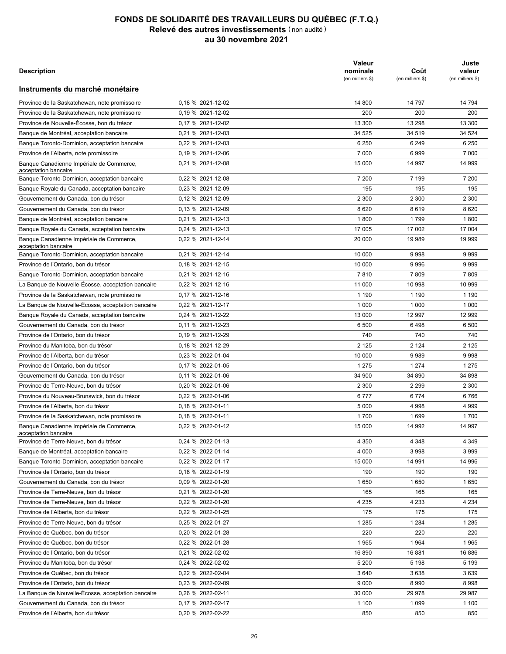| <b>Description</b>                                    |                                                                  | Valeur<br>nominale<br>(en milliers \$) | Coût<br>(en milliers \$) | Juste<br>valeur<br>(en milliers \$) |
|-------------------------------------------------------|------------------------------------------------------------------|----------------------------------------|--------------------------|-------------------------------------|
| <b>Obligations</b>                                    |                                                                  |                                        |                          |                                     |
| Province du Manitoba                                  | 3.20 % 2050-03-05                                                | 8800                                   | 9427                     | 9602                                |
| 407 International inc.                                | 2,84 % 2050-03-07 Rachetable à compter du 2049-09-07             | 2850                                   | 2626                     | 2611                                |
| IGM Financial inc.                                    | 4,21 % 2050-03-21 Rachetable à compter du 2049-09-21             | 2 1 8 5                                | 2 1 8 5                  | 2 4 3 9                             |
| Aéroport de Montréal                                  | 3,03 % 2050-04-21 Rachetable à compter du 2049-10-21             | 1 2 5 0                                | 1 2 9 0                  | 1 1 9 9                             |
| <b>EPCOR Utilities inc.</b>                           | 2,90 % 2050-05-19 Rachetable à compter du 2049-11-19             | 390                                    | 391                      | 362                                 |
| Pembina Pipeline Corp.                                | 4,67 % 2050-05-28 Rachetable à compter du 2049-11-28             | 4 800                                  | 5 1 8 1                  | 5 0 4 3                             |
| Province de l'Alberta                                 | 3,10 % 2050-06-01                                                | 7 0 0 0                                | 6894                     | 7473                                |
| Province de la Colombie-Britannique                   | 2,95 % 2050-06-18                                                | 21 330                                 | 24 789                   | 22 778                              |
| <b>Brookfield Renewable Partners ULC</b>              | 3,33 % 2050-08-13 Rachetable à compter du 2050-02-13             | 1660                                   | 1659                     | 1559                                |
| Vancouver Airport Authority                           | 2,80 % 2050-09-21 Rachetable à compter du 2050-03-21             | 1 500                                  | 1 500                    | 1 3 9 3                             |
| <b>Bell Canada</b>                                    | 3,50 % 2050-09-30 Rachetable à compter du 2050-03-30             | 8865                                   | 8995                     | 8 1 5 8                             |
| South Coast British Columbia Transportation Authority | 2,65 % 2050-10-29                                                | 2800                                   | 2794                     | 2686                                |
| Province de l'Ontario                                 | 2.65 % 2050-12-02                                                | 57 680                                 | 63 685                   | 57 397                              |
| Ontario Power Generation inc.                         | 2,95 % 2051-02-21 Rachetable à compter du 2050-08-21             | 2970                                   | 2970                     | 2697                                |
| <b>Bell Canada</b>                                    | 4,05 % 2051-03-17 Rachetable à compter du 2050-09-17             | 550                                    | 548                      | 558                                 |
| TELUS Corp.                                           | 4,10 % 2051-04-05 Rachetable à compter du 2050-10-05             | 430                                    | 428                      | 433                                 |
| Aéroport de Montréal                                  | 3,44 % 2051-04-26 Rachetable à compter du 2050-10-26             | 2930                                   | 2947                     | 3 0 2 9                             |
| Ville de Toronto                                      | 2.90 % 2051-04-29                                                | 3 0 0 0                                | 2986                     | 3 0 2 7                             |
| Ville d'Ottawa                                        | 2,50 % 2051-05-11                                                | 1560                                   | 1418                     | 1456                                |
| <b>EPCOR Utilities inc.</b>                           | 3,29 % 2051-06-28 Rachetable à compter du 2050-12-28             | 3 0 0 0                                | 3 0 0 0                  | 3 0 0 0                             |
| CU inc.                                               | 3,17 % 2051-09-05 Rachetable à compter du 2051-03-05             | 1575                                   | 1575                     | 1541                                |
| Enbridge Gas inc.                                     | 3,20 % 2051-09-15 Rachetable à compter du 2051-03-15             | 3 0 5 0                                | 3 0 4 6                  | 2969                                |
| Hydro One inc.                                        | 3,10 % 2051-09-15 Rachetable à compter du 2051-03-15             | 980                                    | 885                      | 954                                 |
| Enbridge inc.                                         | 4,10 % 2051-09-21 Rachetable à compter du 2051-03-21             | 995                                    | 991                      | 981                                 |
| <b>Calgary Airport Authority</b>                      | 3,55 % 2051-10-07 Rachetable à compter du 2051-04-07             | 3600                                   | 3600                     | 3745                                |
| Gouvernement du Canada                                | 2,00 % 2051-12-01                                                | 7 5 4 5                                | 7672                     | 7729                                |
| Province de Nouvelle-Écosse                           | 3,15 % 2051-12-01                                                | 4 0 0 0                                | 4888                     | 4 3 6 0                             |
| Province de Québec                                    | 3,10 % 2051-12-01                                                | 25 605                                 | 30 229                   | 28 102                              |
| Province de l'Ontario                                 | 1,90 % 2051-12-02                                                | 30 990                                 | 26 082                   | 26 117                              |
| Province de l'Alberta                                 | 2,95 % 2052-06-01                                                | 10 000                                 | 10 4 64                  | 10 4 14                             |
| Province de la Colombie-Britannique                   | 2,75 % 2052-06-18                                                | 2 0 0 0                                | 2 1 3 3                  | 2 0 6 3                             |
| Sun Life Capital Trust                                | 7,09 % 2052-06-30 Rachetable à compter du 2032-06-30             | 615                                    | 668                      | 820                                 |
| Province du Manitoba                                  | 2.05 % 2052-09-05                                                | 3 0 0 0                                | 2786                     | 2 5 8 1                             |
| Province de l'Ontario                                 | 2,55 % 2052-12-02                                                | 11 250                                 | 11 110                   | 10 983                              |
| Province de la Saskatchewan                           | 2,80 % 2052-12-02                                                | 1 0 0 0                                | 1 0 3 4                  | 1018                                |
| Province de Québec                                    | 2,85 % 2053-12-01                                                | 22 855                                 | 23 663                   | 23 959                              |
| Hydro-Québec                                          | 4,00 % 2055-02-15                                                | 500                                    | 704                      | 646                                 |
| CU inc.                                               | 4,21 % 2055-10-29                                                | 1 1 7 5                                | 1 1 7 5                  | 1 3 9 1                             |
| Scotia Capital Trust                                  | 5,65 % 2056-12-31 Variable et rachetable à compter du 2036-12-31 | 2710                                   | 3649                     | 3622                                |
|                                                       | 3,42 % 2057-12-07 Rachetable à compter du 2057-06-07             |                                        |                          |                                     |
| The Hospital for Sick Children                        |                                                                  | 5 0 0 0<br>1 2 5 0                     | 5 0 0 0<br>1 2 5 0       | 5 2 4 0                             |
| University of Ottawa                                  | 2,64 % 2060-02-13                                                |                                        |                          | 1076                                |
| Hydro-Québec                                          | 2,10 % 2060-02-15                                                | 2 0 0 0                                | 1695                     | 1716                                |
| TransCanada Trust                                     | 4,65 % 2077-05-18 Variable et rachetable à compter du 2027-05-18 | 355                                    | 337                      | 364                                 |
| Enbridge inc.                                         | 6,63 % 2078-04-12 Variable et rachetable à compter du 2028-04-12 | 800                                    | 910                      | 905                                 |
| ATCO Ltd                                              | 5,50 % 2078-11-01 Variable et rachetable à compter du 2028-11-01 | 630                                    | 630                      | 685                                 |
| <b>Total - obligations</b>                            |                                                                  | 2855049                                | 3 009 775                | 3 039 770                           |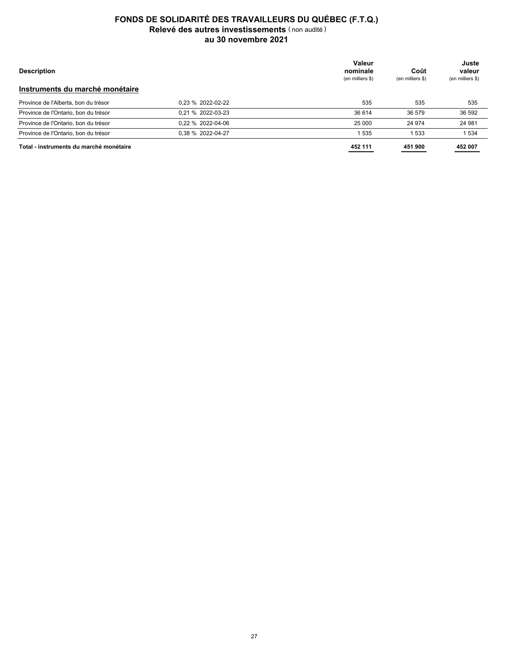|                                                                  |                   | Valeur                       |                          | Juste                      |
|------------------------------------------------------------------|-------------------|------------------------------|--------------------------|----------------------------|
| <b>Description</b>                                               |                   | nominale<br>(en milliers \$) | Coût<br>(en milliers \$) | valeur<br>(en milliers \$) |
| Instruments du marché monétaire                                  |                   |                              |                          |                            |
| Province de la Saskatchewan, note promissoire                    | 0.18 % 2021-12-02 | 14 800                       | 14 797                   | 14 794                     |
| Province de la Saskatchewan, note promissoire                    | 0.19 % 2021-12-02 | 200                          | 200                      | 200                        |
| Province de Nouvelle-Écosse, bon du trésor                       | 0.17 % 2021-12-02 | 13 300                       | 13 298                   | 13 300                     |
| Banque de Montréal, acceptation bancaire                         | 0,21 % 2021-12-03 | 34 525                       | 34 519                   | 34 524                     |
| Banque Toronto-Dominion, acceptation bancaire                    | 0,22 % 2021-12-03 | 6 2 5 0                      | 6 2 4 9                  | 6 2 5 0                    |
| Province de l'Alberta, note promissoire                          | 0.19 % 2021-12-06 | 7 0 0 0                      | 6999                     | 7 0 0 0                    |
| Banque Canadienne Impériale de Commerce,<br>acceptation bancaire | 0,21 % 2021-12-08 | 15 000                       | 14 997                   | 14 999                     |
| Banque Toronto-Dominion, acceptation bancaire                    | 0,22 % 2021-12-08 | 7 200                        | 7 199                    | 7 200                      |
| Banque Royale du Canada, acceptation bancaire                    | 0,23 % 2021-12-09 | 195                          | 195                      | 195                        |
| Gouvernement du Canada, bon du trésor                            | 0.12 % 2021-12-09 | 2 3 0 0                      | 2 300                    | 2 300                      |
| Gouvernement du Canada, bon du trésor                            | 0.13 % 2021-12-09 | 8620                         | 8619                     | 8620                       |
| Banque de Montréal, acceptation bancaire                         | 0,21 % 2021-12-13 | 1800                         | 1799                     | 1800                       |
| Banque Royale du Canada, acceptation bancaire                    | 0,24 % 2021-12-13 | 17 005                       | 17 002                   | 17 004                     |
| Banque Canadienne Impériale de Commerce,<br>acceptation bancaire | 0,22 % 2021-12-14 | 20 000                       | 19 989                   | 19 999                     |
| Banque Toronto-Dominion, acceptation bancaire                    | 0,21 % 2021-12-14 | 10 000                       | 9998                     | 9999                       |
| Province de l'Ontario, bon du trésor                             | 0.18 % 2021-12-15 | 10 000                       | 9996                     | 9999                       |
| Banque Toronto-Dominion, acceptation bancaire                    | 0,21 % 2021-12-16 | 7810                         | 7809                     | 7809                       |
| La Banque de Nouvelle-Écosse, acceptation bancaire               | 0,22 % 2021-12-16 | 11 000                       | 10 998                   | 10 999                     |
| Province de la Saskatchewan, note promissoire                    | 0.17 % 2021-12-16 | 1 1 9 0                      | 1 1 9 0                  | 1 1 9 0                    |
| La Banque de Nouvelle-Écosse, acceptation bancaire               | 0,22 % 2021-12-17 | 1 0 0 0                      | 1 0 0 0                  | 1 0 0 0                    |
| Banque Royale du Canada, acceptation bancaire                    | 0,24 % 2021-12-22 | 13 000                       | 12 997                   | 12 999                     |
| Gouvernement du Canada, bon du trésor                            | 0.11 % 2021-12-23 | 6 500                        | 6498                     | 6 500                      |
| Province de l'Ontario, bon du trésor                             | 0.19 % 2021-12-29 | 740                          | 740                      | 740                        |
| Province du Manitoba, bon du trésor                              | 0.18 % 2021-12-29 | 2 1 2 5                      | 2 1 2 4                  | 2 1 2 5                    |
| Province de l'Alberta, bon du trésor                             | 0,23 % 2022-01-04 | 10 000                       | 9989                     | 9998                       |
| Province de l'Ontario, bon du trésor                             | 0,17 % 2022-01-05 | 1 2 7 5                      | 1 2 7 4                  | 1 2 7 5                    |
| Gouvernement du Canada, bon du trésor                            | 0,11 % 2022-01-06 | 34 900                       | 34 890                   | 34 898                     |
| Province de Terre-Neuve, bon du trésor                           | 0,20 % 2022-01-06 | 2 3 0 0                      | 2 2 9 9                  | 2 3 0 0                    |
| Province du Nouveau-Brunswick, bon du trésor                     | 0,22 % 2022-01-06 | 6777                         | 6774                     | 6766                       |
| Province de l'Alberta, bon du trésor                             | 0.18 % 2022-01-11 | 5 0 0 0                      | 4 9 9 8                  | 4 9 9 9                    |
| Province de la Saskatchewan, note promissoire                    | 0.18 % 2022-01-11 | 1700                         | 1699                     | 1700                       |
| Banque Canadienne Impériale de Commerce,                         | 0.22 % 2022-01-12 | 15 000                       | 14 992                   | 14 997                     |
| acceptation bancaire                                             |                   |                              |                          |                            |
| Province de Terre-Neuve, bon du trésor                           | 0,24 % 2022-01-13 | 4 3 5 0                      | 4 3 4 8                  | 4 3 4 9                    |
| Banque de Montréal, acceptation bancaire                         | 0,22 % 2022-01-14 | 4 0 0 0                      | 3998                     | 3 9 9 9                    |
| Banque Toronto-Dominion, acceptation bancaire                    | 0,22 % 2022-01-17 | 15 000                       | 14 991                   | 14 996                     |
| Province de l'Ontario, bon du trésor                             | 0.18 % 2022-01-19 | 190                          | 190                      | 190                        |
| Gouvernement du Canada, bon du trésor                            | 0,09 % 2022-01-20 | 1650                         | 1650                     | 1650                       |
| Province de Terre-Neuve, bon du trésor                           | 0,21 % 2022-01-20 | 165                          | 165                      | 165                        |
| Province de Terre-Neuve, bon du trésor                           | 0,22 % 2022-01-20 | 4 2 3 5                      | 4 2 3 3                  | 4 2 3 4                    |
| Province de l'Alberta, bon du trésor                             | 0,22 % 2022-01-25 | 175                          | 175                      | 175                        |
| Province de Terre-Neuve, bon du trésor                           | 0.25 % 2022-01-27 | 1 2 8 5                      | 1 2 8 4                  | 1 2 8 5                    |
| Province de Québec, bon du trésor                                | 0,20 % 2022-01-28 | 220                          | 220                      | 220                        |
| Province de Québec, bon du trésor                                | 0,22 % 2022-01-28 | 1965                         | 1964                     | 1965                       |
| Province de l'Ontario, bon du trésor                             | 0,21 % 2022-02-02 | 16 890                       | 16 881                   | 16886                      |
| Province du Manitoba, bon du trésor                              | 0,24 % 2022-02-02 | 5 200                        | 5 1 9 8                  | 5 1 9 9                    |
| Province de Québec, bon du trésor                                | 0,22 % 2022-02-04 | 3640                         | 3638                     | 3639                       |
| Province de l'Ontario, bon du trésor                             | 0,23 % 2022-02-09 | 9 0 0 0                      | 8990                     | 8998                       |
| La Banque de Nouvelle-Écosse, acceptation bancaire               | 0,26 % 2022-02-11 | 30 000                       | 29 978                   | 29 987                     |
| Gouvernement du Canada, bon du trésor                            | 0,17 % 2022-02-17 | 1 100                        | 1 0 9 9                  | 1 100                      |
| Province de l'Alberta, bon du trésor                             | 0,20 % 2022-02-22 | 850                          | 850                      | 850                        |
|                                                                  |                   |                              |                          |                            |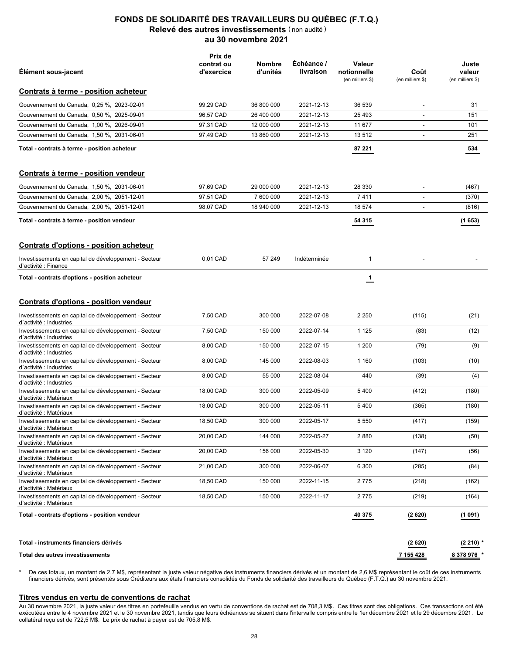| <b>Description</b>                      |                   | Valeur<br>nominale<br>(en milliers \$) | Coût<br>(en milliers \$) | Juste<br>valeur<br>(en milliers \$) |
|-----------------------------------------|-------------------|----------------------------------------|--------------------------|-------------------------------------|
| Instruments du marché monétaire         |                   |                                        |                          |                                     |
| Province de l'Alberta, bon du trésor    | 0.23 % 2022-02-22 | 535                                    | 535                      | 535                                 |
| Province de l'Ontario, bon du trésor    | 0.21 % 2022-03-23 | 36 614                                 | 36 579                   | 36 592                              |
| Province de l'Ontario, bon du trésor    | 0.22 % 2022-04-06 | 25 000                                 | 24 974                   | 24 981                              |
| Province de l'Ontario, bon du trésor    | 0.38 % 2022-04-27 | 535                                    | 533                      | 1 5 3 4                             |
| Total - instruments du marché monétaire |                   | 452 111                                | 451 900                  | 452 007                             |